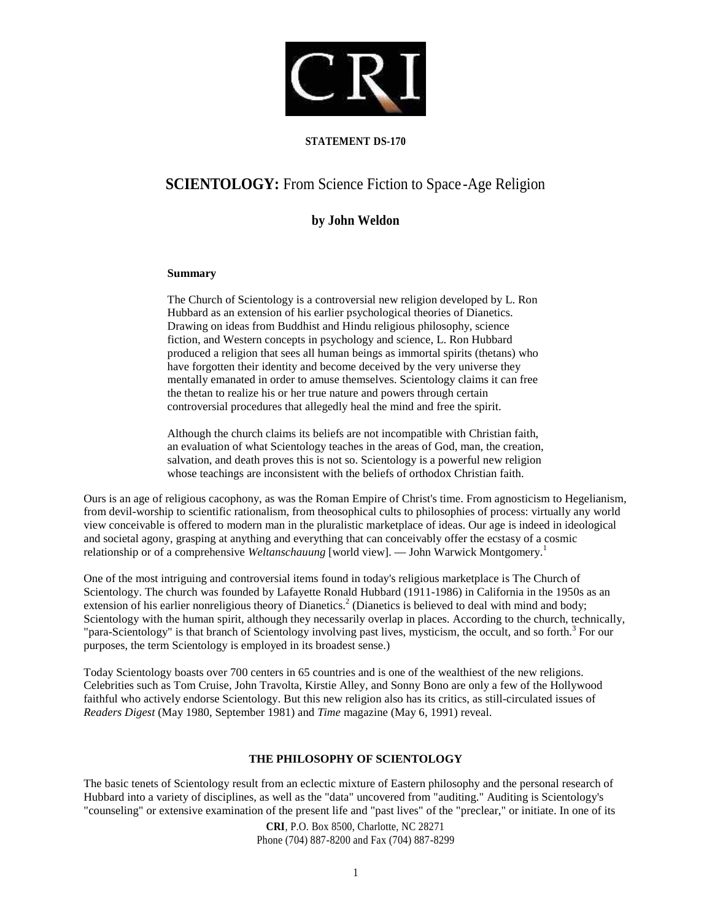

## **STATEMENT DS-170**

# **SCIENTOLOGY:** From Science Fiction to Space -Age Religion

## **by John Weldon**

## **Summary**

The Church of Scientology is a controversial new religion developed by L. Ron Hubbard as an extension of his earlier psychological theories of Dianetics. Drawing on ideas from Buddhist and Hindu religious philosophy, science fiction, and Western concepts in psychology and science, L. Ron Hubbard produced a religion that sees all human beings as immortal spirits (thetans) who have forgotten their identity and become deceived by the very universe they mentally emanated in order to amuse themselves. Scientology claims it can free the thetan to realize his or her true nature and powers through certain controversial procedures that allegedly heal the mind and free the spirit.

Although the church claims its beliefs are not incompatible with Christian faith, an evaluation of what Scientology teaches in the areas of God, man, the creation, salvation, and death proves this is not so. Scientology is a powerful new religion whose teachings are inconsistent with the beliefs of orthodox Christian faith.

Ours is an age of religious cacophony, as was the Roman Empire of Christ's time. From agnosticism to Hegelianism, from devil-worship to scientific rationalism, from theosophical cults to philosophies of process: virtually any world view conceivable is offered to modern man in the pluralistic marketplace of ideas. Our age is indeed in ideological and societal agony, grasping at anything and everything that can conceivably offer the ecstasy of a cosmic relationship or of a comprehensive *Weltanschauung* [world view]. — John Warwick Montgomery.<sup>1</sup>

One of the most intriguing and controversial items found in today's religious marketplace is The Church of Scientology. The church was founded by Lafayette Ronald Hubbard (1911-1986) in California in the 1950s as an extension of his earlier nonreligious theory of Dianetics.<sup>2</sup> (Dianetics is believed to deal with mind and body; Scientology with the human spirit, although they necessarily overlap in places. According to the church, technically, "para-Scientology" is that branch of Scientology involving past lives, mysticism, the occult, and so forth.<sup>3</sup> For our purposes, the term Scientology is employed in its broadest sense.)

Today Scientology boasts over 700 centers in 65 countries and is one of the wealthiest of the new religions. Celebrities such as Tom Cruise, John Travolta, Kirstie Alley, and Sonny Bono are only a few of the Hollywood faithful who actively endorse Scientology. But this new religion also has its critics, as still-circulated issues of *Readers Digest* (May 1980, September 1981) and *Time* magazine (May 6, 1991) reveal.

## **THE PHILOSOPHY OF SCIENTOLOGY**

The basic tenets of Scientology result from an eclectic mixture of Eastern philosophy and the personal research of Hubbard into a variety of disciplines, as well as the "data" uncovered from "auditing." Auditing is Scientology's "counseling" or extensive examination of the present life and "past lives" of the "preclear," or initiate. In one of its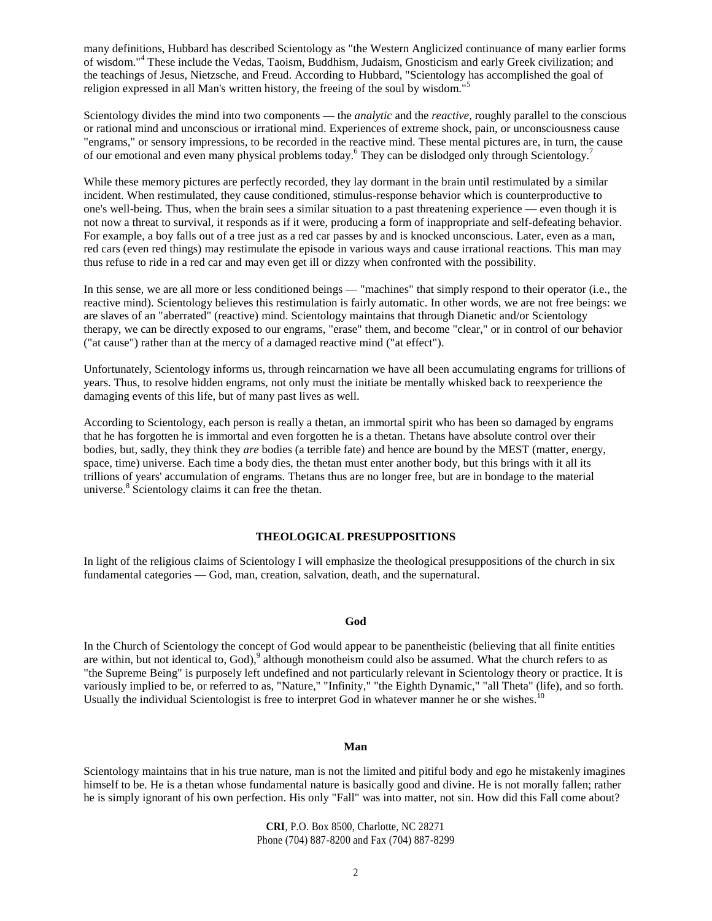many definitions, Hubbard has described Scientology as "the Western Anglicized continuance of many earlier forms of wisdom."<sup>4</sup> These include the Vedas, Taoism, Buddhism, Judaism, Gnosticism and early Greek civilization; and the teachings of Jesus, Nietzsche, and Freud. According to Hubbard, "Scientology has accomplished the goal of religion expressed in all Man's written history, the freeing of the soul by wisdom."

Scientology divides the mind into two components — the *analytic* and the *reactive,* roughly parallel to the conscious or rational mind and unconscious or irrational mind. Experiences of extreme shock, pain, or unconsciousness cause "engrams," or sensory impressions, to be recorded in the reactive mind. These mental pictures are, in turn, the cause of our emotional and even many physical problems today.<sup>6</sup> They can be dislodged only through Scientology.<sup>7</sup>

While these memory pictures are perfectly recorded, they lay dormant in the brain until restimulated by a similar incident. When restimulated, they cause conditioned, stimulus-response behavior which is counterproductive to one's well-being. Thus, when the brain sees a similar situation to a past threatening experience — even though it is not now a threat to survival, it responds as if it were, producing a form of inappropriate and self-defeating behavior. For example, a boy falls out of a tree just as a red car passes by and is knocked unconscious. Later, even as a man, red cars (even red things) may restimulate the episode in various ways and cause irrational reactions. This man may thus refuse to ride in a red car and may even get ill or dizzy when confronted with the possibility.

In this sense, we are all more or less conditioned beings — "machines" that simply respond to their operator (i.e., the reactive mind). Scientology believes this restimulation is fairly automatic. In other words, we are not free beings: we are slaves of an "aberrated" (reactive) mind. Scientology maintains that through Dianetic and/or Scientology therapy, we can be directly exposed to our engrams, "erase" them, and become "clear," or in control of our behavior ("at cause") rather than at the mercy of a damaged reactive mind ("at effect").

Unfortunately, Scientology informs us, through reincarnation we have all been accumulating engrams for trillions of years. Thus, to resolve hidden engrams, not only must the initiate be mentally whisked back to reexperience the damaging events of this life, but of many past lives as well.

According to Scientology, each person is really a thetan, an immortal spirit who has been so damaged by engrams that he has forgotten he is immortal and even forgotten he is a thetan. Thetans have absolute control over their bodies, but, sadly, they think they *are* bodies (a terrible fate) and hence are bound by the MEST (matter, energy, space, time) universe. Each time a body dies, the thetan must enter another body, but this brings with it all its trillions of years' accumulation of engrams. Thetans thus are no longer free, but are in bondage to the material universe.<sup>8</sup> Scientology claims it can free the thetan.

#### **THEOLOGICAL PRESUPPOSITIONS**

In light of the religious claims of Scientology I will emphasize the theological presuppositions of the church in six fundamental categories — God, man, creation, salvation, death, and the supernatural.

## **God**

In the Church of Scientology the concept of God would appear to be panentheistic (believing that all finite entities are within, but not identical to, God),<sup>9</sup> although monotheism could also be assumed. What the church refers to as "the Supreme Being" is purposely left undefined and not particularly relevant in Scientology theory or practice. It is variously implied to be, or referred to as, "Nature," "Infinity," "the Eighth Dynamic," "all Theta" (life), and so forth. Usually the individual Scientologist is free to interpret God in whatever manner he or she wishes.<sup>10</sup>

## **Man**

Scientology maintains that in his true nature, man is not the limited and pitiful body and ego he mistakenly imagines himself to be. He is a thetan whose fundamental nature is basically good and divine. He is not morally fallen; rather he is simply ignorant of his own perfection. His only "Fall" was into matter, not sin. How did this Fall come about?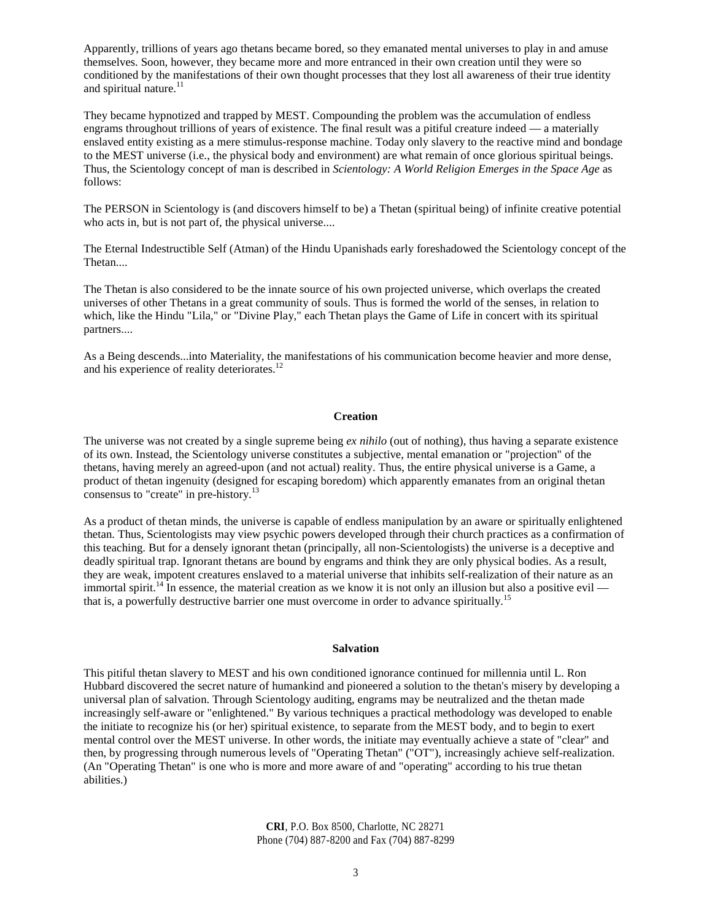Apparently, trillions of years ago thetans became bored, so they emanated mental universes to play in and amuse themselves. Soon, however, they became more and more entranced in their own creation until they were so conditioned by the manifestations of their own thought processes that they lost all awareness of their true identity and spiritual nature.<sup>11</sup>

They became hypnotized and trapped by MEST. Compounding the problem was the accumulation of endless engrams throughout trillions of years of existence. The final result was a pitiful creature indeed — a materially enslaved entity existing as a mere stimulus-response machine. Today only slavery to the reactive mind and bondage to the MEST universe (i.e., the physical body and environment) are what remain of once glorious spiritual beings. Thus, the Scientology concept of man is described in *Scientology: A World Religion Emerges in the Space Age* as follows:

The PERSON in Scientology is (and discovers himself to be) a Thetan (spiritual being) of infinite creative potential who acts in, but is not part of, the physical universe....

The Eternal Indestructible Self (Atman) of the Hindu Upanishads early foreshadowed the Scientology concept of the Thetan....

The Thetan is also considered to be the innate source of his own projected universe, which overlaps the created universes of other Thetans in a great community of souls. Thus is formed the world of the senses, in relation to which, like the Hindu "Lila," or "Divine Play," each Thetan plays the Game of Life in concert with its spiritual partners....

As a Being descends...into Materiality, the manifestations of his communication become heavier and more dense, and his experience of reality deteriorates.<sup>12</sup>

#### **Creation**

The universe was not created by a single supreme being *ex nihilo* (out of nothing), thus having a separate existence of its own. Instead, the Scientology universe constitutes a subjective, mental emanation or "projection" of the thetans, having merely an agreed-upon (and not actual) reality. Thus, the entire physical universe is a Game, a product of thetan ingenuity (designed for escaping boredom) which apparently emanates from an original thetan consensus to "create" in pre-history.<sup>13</sup>

As a product of thetan minds, the universe is capable of endless manipulation by an aware or spiritually enlightened thetan. Thus, Scientologists may view psychic powers developed through their church practices as a confirmation of this teaching. But for a densely ignorant thetan (principally, all non-Scientologists) the universe is a deceptive and deadly spiritual trap. Ignorant thetans are bound by engrams and think they are only physical bodies. As a result, they are weak, impotent creatures enslaved to a material universe that inhibits self-realization of their nature as an immortal spirit.<sup>14</sup> In essence, the material creation as we know it is not only an illusion but also a positive evil that is, a powerfully destructive barrier one must overcome in order to advance spiritually.<sup>15</sup>

#### **Salvation**

This pitiful thetan slavery to MEST and his own conditioned ignorance continued for millennia until L. Ron Hubbard discovered the secret nature of humankind and pioneered a solution to the thetan's misery by developing a universal plan of salvation. Through Scientology auditing, engrams may be neutralized and the thetan made increasingly self-aware or "enlightened." By various techniques a practical methodology was developed to enable the initiate to recognize his (or her) spiritual existence, to separate from the MEST body, and to begin to exert mental control over the MEST universe. In other words, the initiate may eventually achieve a state of "clear" and then, by progressing through numerous levels of "Operating Thetan" ("OT"), increasingly achieve self-realization. (An "Operating Thetan" is one who is more and more aware of and "operating" according to his true thetan abilities.)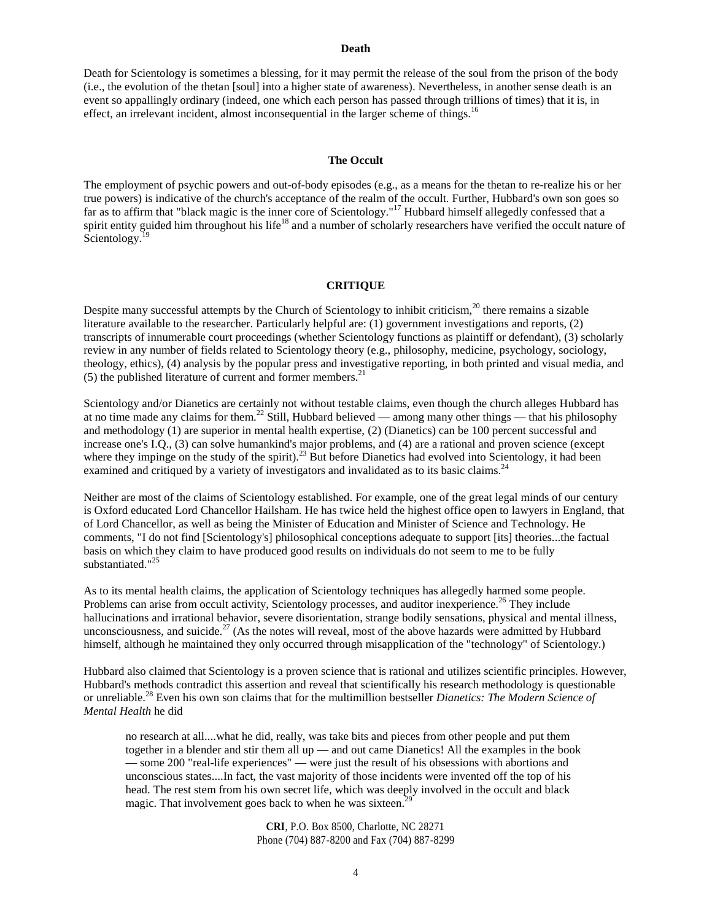#### **Death**

Death for Scientology is sometimes a blessing, for it may permit the release of the soul from the prison of the body (i.e., the evolution of the thetan [soul] into a higher state of awareness). Nevertheless, in another sense death is an event so appallingly ordinary (indeed, one which each person has passed through trillions of times) that it is, in effect, an irrelevant incident, almost inconsequential in the larger scheme of things.<sup>16</sup>

## **The Occult**

The employment of psychic powers and out-of-body episodes (e.g., as a means for the thetan to re-realize his or her true powers) is indicative of the church's acceptance of the realm of the occult. Further, Hubbard's own son goes so far as to affirm that "black magic is the inner core of Scientology."<sup>17</sup> Hubbard himself allegedly confessed that a spirit entity guided him throughout his life<sup>18</sup> and a number of scholarly researchers have verified the occult nature of Scientology.<sup>19</sup>

## **CRITIQUE**

Despite many successful attempts by the Church of Scientology to inhibit criticism,<sup>20</sup> there remains a sizable literature available to the researcher. Particularly helpful are: (1) government investigations and reports, (2) transcripts of innumerable court proceedings (whether Scientology functions as plaintiff or defendant), (3) scholarly review in any number of fields related to Scientology theory (e.g., philosophy, medicine, psychology, sociology, theology, ethics), (4) analysis by the popular press and investigative reporting, in both printed and visual media, and (5) the published literature of current and former members. $^{21}$ 

Scientology and/or Dianetics are certainly not without testable claims, even though the church alleges Hubbard has at no time made any claims for them.<sup>22</sup> Still, Hubbard believed — among many other things — that his philosophy and methodology (1) are superior in mental health expertise, (2) (Dianetics) can be 100 percent successful and increase one's I.Q., (3) can solve humankind's major problems, and (4) are a rational and proven science (except where they impinge on the study of the spirit).<sup>23</sup> But before Dianetics had evolved into Scientology, it had been examined and critiqued by a variety of investigators and invalidated as to its basic claims.<sup>24</sup>

Neither are most of the claims of Scientology established. For example, one of the great legal minds of our century is Oxford educated Lord Chancellor Hailsham. He has twice held the highest office open to lawyers in England, that of Lord Chancellor, as well as being the Minister of Education and Minister of Science and Technology. He comments, "I do not find [Scientology's] philosophical conceptions adequate to support [its] theories...the factual basis on which they claim to have produced good results on individuals do not seem to me to be fully substantiated."<sup>25</sup>

As to its mental health claims, the application of Scientology techniques has allegedly harmed some people. Problems can arise from occult activity, Scientology processes, and auditor inexperience.<sup>26</sup> They include hallucinations and irrational behavior, severe disorientation, strange bodily sensations, physical and mental illness, unconsciousness, and suicide.<sup>27</sup> (As the notes will reveal, most of the above hazards were admitted by Hubbard himself, although he maintained they only occurred through misapplication of the "technology" of Scientology.)

Hubbard also claimed that Scientology is a proven science that is rational and utilizes scientific principles. However, Hubbard's methods contradict this assertion and reveal that scientifically his research methodology is questionable or unreliable.<sup>28</sup> Even his own son claims that for the multimillion bestseller *Dianetics: The Modern Science of Mental Health* he did

no research at all....what he did, really, was take bits and pieces from other people and put them together in a blender and stir them all up — and out came Dianetics! All the examples in the book — some 200 "real-life experiences" — were just the result of his obsessions with abortions and unconscious states....In fact, the vast majority of those incidents were invented off the top of his head. The rest stem from his own secret life, which was deeply involved in the occult and black magic. That involvement goes back to when he was sixteen.<sup>2</sup>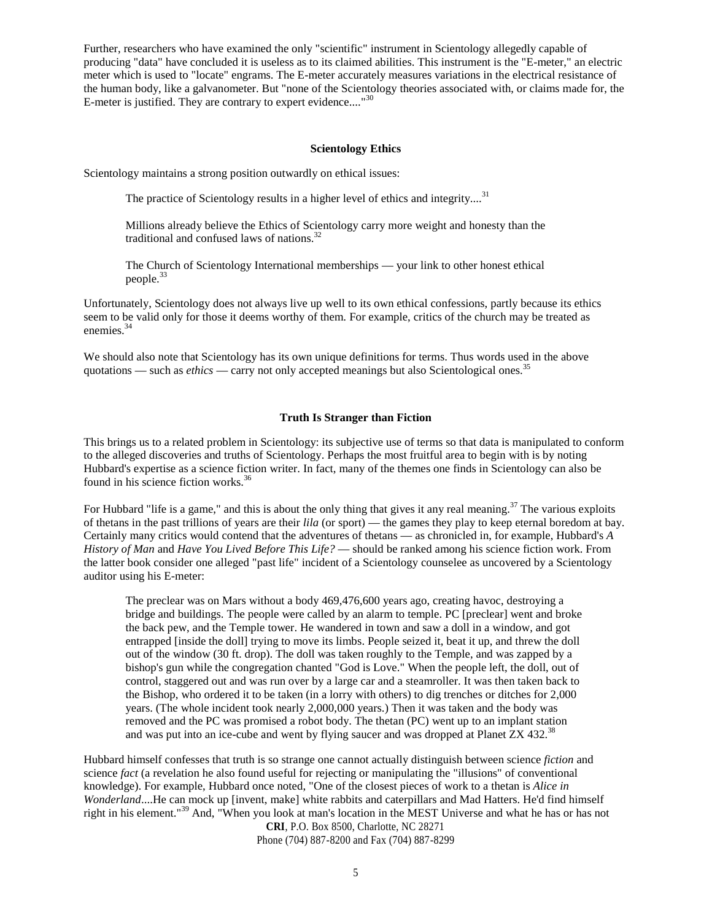Further, researchers who have examined the only "scientific" instrument in Scientology allegedly capable of producing "data" have concluded it is useless as to its claimed abilities. This instrument is the "E-meter," an electric meter which is used to "locate" engrams. The E-meter accurately measures variations in the electrical resistance of the human body, like a galvanometer. But "none of the Scientology theories associated with, or claims made for, the E-meter is justified. They are contrary to expert evidence...."<sup>30</sup>

## **Scientology Ethics**

Scientology maintains a strong position outwardly on ethical issues:

The practice of Scientology results in a higher level of ethics and integrity....<sup>31</sup>

Millions already believe the Ethics of Scientology carry more weight and honesty than the traditional and confused laws of nations. $32$ 

The Church of Scientology International memberships — your link to other honest ethical people.<sup>33</sup>

Unfortunately, Scientology does not always live up well to its own ethical confessions, partly because its ethics seem to be valid only for those it deems worthy of them. For example, critics of the church may be treated as enemies.<sup>34</sup>

We should also note that Scientology has its own unique definitions for terms. Thus words used in the above quotations — such as *ethics* — carry not only accepted meanings but also Scientological ones.<sup>35</sup>

## **Truth Is Stranger than Fiction**

This brings us to a related problem in Scientology: its subjective use of terms so that data is manipulated to conform to the alleged discoveries and truths of Scientology. Perhaps the most fruitful area to begin with is by noting Hubbard's expertise as a science fiction writer. In fact, many of the themes one finds in Scientology can also be found in his science fiction works. $36$ 

For Hubbard "life is a game," and this is about the only thing that gives it any real meaning. $37$  The various exploits of thetans in the past trillions of years are their *lila* (or sport) — the games they play to keep eternal boredom at bay. Certainly many critics would contend that the adventures of thetans — as chronicled in, for example, Hubbard's *A History of Man* and *Have You Lived Before This Life?* — should be ranked among his science fiction work. From the latter book consider one alleged "past life" incident of a Scientology counselee as uncovered by a Scientology auditor using his E-meter:

The preclear was on Mars without a body 469,476,600 years ago, creating havoc, destroying a bridge and buildings. The people were called by an alarm to temple. PC [preclear] went and broke the back pew, and the Temple tower. He wandered in town and saw a doll in a window, and got entrapped [inside the doll] trying to move its limbs. People seized it, beat it up, and threw the doll out of the window (30 ft. drop). The doll was taken roughly to the Temple, and was zapped by a bishop's gun while the congregation chanted "God is Love." When the people left, the doll, out of control, staggered out and was run over by a large car and a steamroller. It was then taken back to the Bishop, who ordered it to be taken (in a lorry with others) to dig trenches or ditches for 2,000 years. (The whole incident took nearly 2,000,000 years.) Then it was taken and the body was removed and the PC was promised a robot body. The thetan (PC) went up to an implant station and was put into an ice-cube and went by flying saucer and was dropped at Planet  $ZX\,432.^{38}$ 

Hubbard himself confesses that truth is so strange one cannot actually distinguish between science *fiction* and science *fact* (a revelation he also found useful for rejecting or manipulating the "illusions" of conventional knowledge). For example, Hubbard once noted, "One of the closest pieces of work to a thetan is *Alice in Wonderland*....He can mock up [invent, make] white rabbits and caterpillars and Mad Hatters. He'd find himself right in his element."<sup>39</sup> And, "When you look at man's location in the MEST Universe and what he has or has not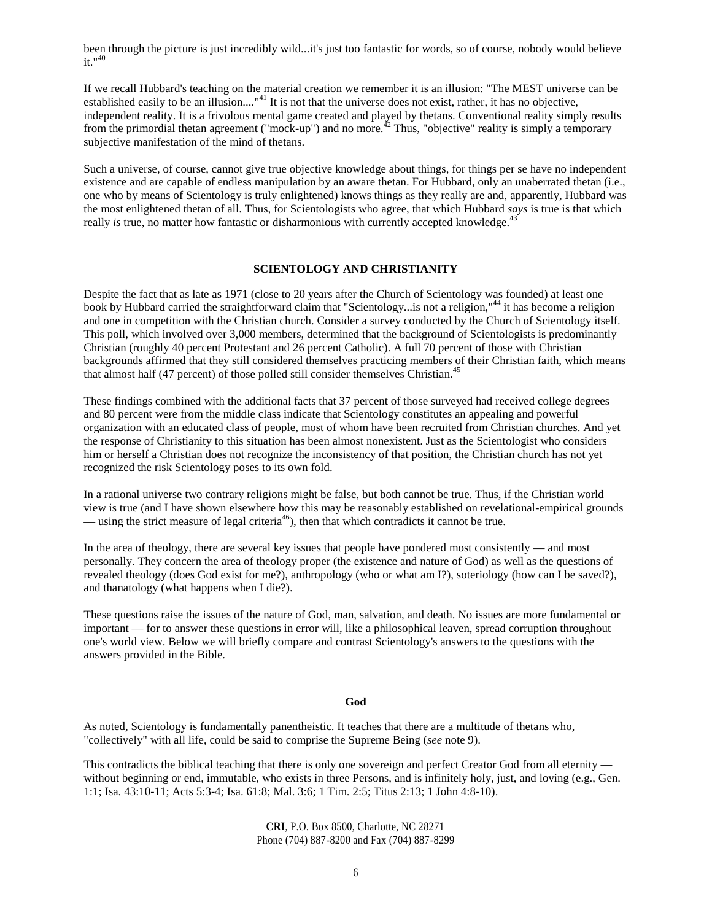been through the picture is just incredibly wild...it's just too fantastic for words, so of course, nobody would believe  $it$ <sup> $n40$ </sup>

If we recall Hubbard's teaching on the material creation we remember it is an illusion: "The MEST universe can be established easily to be an illusion...."<sup>41</sup> It is not that the universe does not exist, rather, it has no objective, independent reality. It is a frivolous mental game created and played by thetans. Conventional reality simply results from the primordial thetan agreement ("mock-up") and no more.<sup> $42$ </sup> Thus, "objective" reality is simply a temporary subjective manifestation of the mind of thetans.

Such a universe, of course, cannot give true objective knowledge about things, for things per se have no independent existence and are capable of endless manipulation by an aware thetan. For Hubbard, only an unaberrated thetan (i.e., one who by means of Scientology is truly enlightened) knows things as they really are and, apparently, Hubbard was the most enlightened thetan of all. Thus, for Scientologists who agree, that which Hubbard *says* is true is that which really *is* true, no matter how fantastic or disharmonious with currently accepted knowledge.<sup>43</sup>

## **SCIENTOLOGY AND CHRISTIANITY**

Despite the fact that as late as 1971 (close to 20 years after the Church of Scientology was founded) at least one book by Hubbard carried the straightforward claim that "Scientology...is not a religion,"<sup>44</sup> it has become a religion and one in competition with the Christian church. Consider a survey conducted by the Church of Scientology itself. This poll, which involved over 3,000 members, determined that the background of Scientologists is predominantly Christian (roughly 40 percent Protestant and 26 percent Catholic). A full 70 percent of those with Christian backgrounds affirmed that they still considered themselves practicing members of their Christian faith, which means that almost half (47 percent) of those polled still consider themselves Christian.<sup>45</sup>

These findings combined with the additional facts that 37 percent of those surveyed had received college degrees and 80 percent were from the middle class indicate that Scientology constitutes an appealing and powerful organization with an educated class of people, most of whom have been recruited from Christian churches. And yet the response of Christianity to this situation has been almost nonexistent. Just as the Scientologist who considers him or herself a Christian does not recognize the inconsistency of that position, the Christian church has not yet recognized the risk Scientology poses to its own fold.

In a rational universe two contrary religions might be false, but both cannot be true. Thus, if the Christian world view is true (and I have shown elsewhere how this may be reasonably established on revelational-empirical grounds — using the strict measure of legal criteria<sup>46</sup>), then that which contradicts it cannot be true.

In the area of theology, there are several key issues that people have pondered most consistently — and most personally. They concern the area of theology proper (the existence and nature of God) as well as the questions of revealed theology (does God exist for me?), anthropology (who or what am I?), soteriology (how can I be saved?), and thanatology (what happens when I die?).

These questions raise the issues of the nature of God, man, salvation, and death. No issues are more fundamental or important — for to answer these questions in error will, like a philosophical leaven, spread corruption throughout one's world view. Below we will briefly compare and contrast Scientology's answers to the questions with the answers provided in the Bible.

#### **God**

As noted, Scientology is fundamentally panentheistic. It teaches that there are a multitude of thetans who, "collectively" with all life, could be said to comprise the Supreme Being (*see* note 9).

This contradicts the biblical teaching that there is only one sovereign and perfect Creator God from all eternity without beginning or end, immutable, who exists in three Persons, and is infinitely holy, just, and loving (e.g., Gen. 1:1; Isa. 43:10-11; Acts 5:3-4; Isa. 61:8; Mal. 3:6; 1 Tim. 2:5; Titus 2:13; 1 John 4:8-10).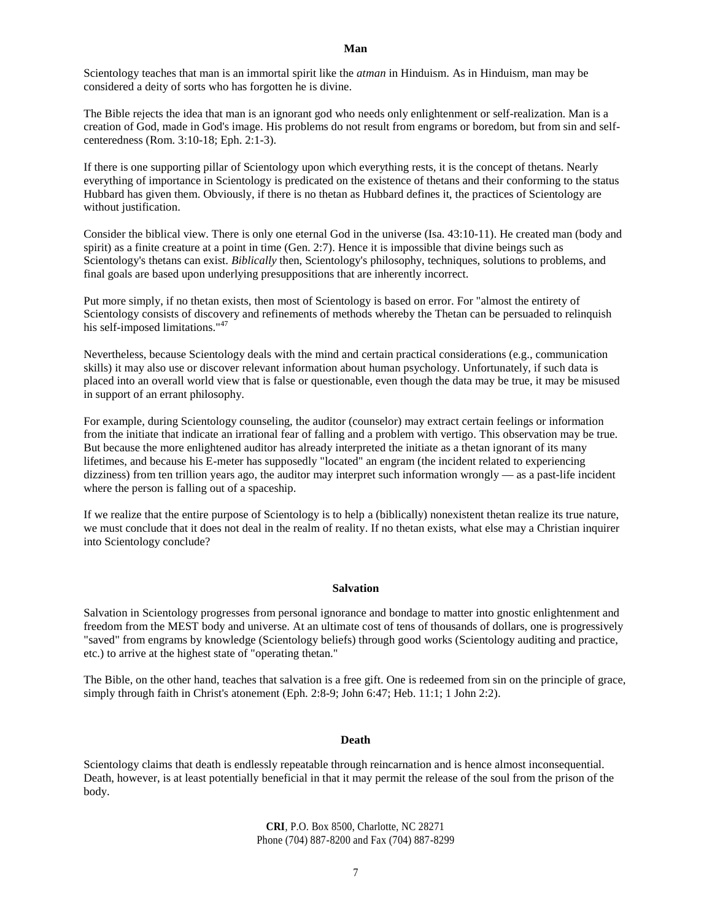Scientology teaches that man is an immortal spirit like the *atman* in Hinduism. As in Hinduism, man may be considered a deity of sorts who has forgotten he is divine.

The Bible rejects the idea that man is an ignorant god who needs only enlightenment or self-realization. Man is a creation of God, made in God's image. His problems do not result from engrams or boredom, but from sin and selfcenteredness (Rom. 3:10-18; Eph. 2:1-3).

If there is one supporting pillar of Scientology upon which everything rests, it is the concept of thetans. Nearly everything of importance in Scientology is predicated on the existence of thetans and their conforming to the status Hubbard has given them. Obviously, if there is no thetan as Hubbard defines it, the practices of Scientology are without justification.

Consider the biblical view. There is only one eternal God in the universe (Isa. 43:10-11). He created man (body and spirit) as a finite creature at a point in time (Gen. 2:7). Hence it is impossible that divine beings such as Scientology's thetans can exist. *Biblically* then, Scientology's philosophy, techniques, solutions to problems, and final goals are based upon underlying presuppositions that are inherently incorrect.

Put more simply, if no thetan exists, then most of Scientology is based on error. For "almost the entirety of Scientology consists of discovery and refinements of methods whereby the Thetan can be persuaded to relinquish his self-imposed limitations."<sup>47</sup>

Nevertheless, because Scientology deals with the mind and certain practical considerations (e.g., communication skills) it may also use or discover relevant information about human psychology. Unfortunately, if such data is placed into an overall world view that is false or questionable, even though the data may be true, it may be misused in support of an errant philosophy.

For example, during Scientology counseling, the auditor (counselor) may extract certain feelings or information from the initiate that indicate an irrational fear of falling and a problem with vertigo. This observation may be true. But because the more enlightened auditor has already interpreted the initiate as a thetan ignorant of its many lifetimes, and because his E-meter has supposedly "located" an engram (the incident related to experiencing dizziness) from ten trillion years ago, the auditor may interpret such information wrongly — as a past-life incident where the person is falling out of a spaceship.

If we realize that the entire purpose of Scientology is to help a (biblically) nonexistent thetan realize its true nature, we must conclude that it does not deal in the realm of reality. If no thetan exists, what else may a Christian inquirer into Scientology conclude?

#### **Salvation**

Salvation in Scientology progresses from personal ignorance and bondage to matter into gnostic enlightenment and freedom from the MEST body and universe. At an ultimate cost of tens of thousands of dollars, one is progressively "saved" from engrams by knowledge (Scientology beliefs) through good works (Scientology auditing and practice, etc.) to arrive at the highest state of "operating thetan."

The Bible, on the other hand, teaches that salvation is a free gift. One is redeemed from sin on the principle of grace, simply through faith in Christ's atonement (Eph. 2:8-9; John 6:47; Heb. 11:1; 1 John 2:2).

#### **Death**

Scientology claims that death is endlessly repeatable through reincarnation and is hence almost inconsequential. Death, however, is at least potentially beneficial in that it may permit the release of the soul from the prison of the body.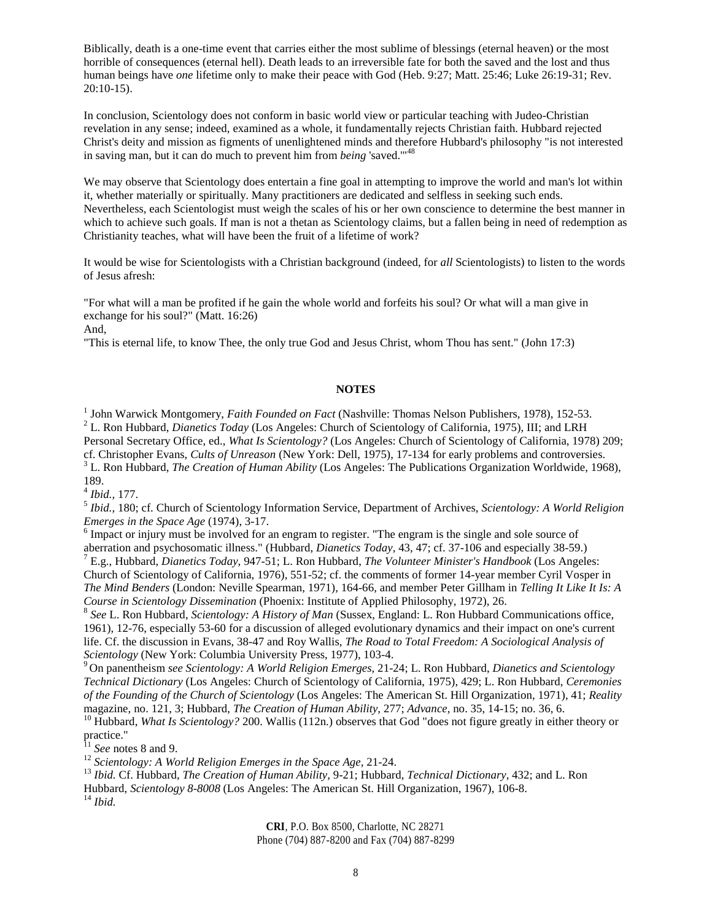Biblically, death is a one-time event that carries either the most sublime of blessings (eternal heaven) or the most horrible of consequences (eternal hell). Death leads to an irreversible fate for both the saved and the lost and thus human beings have *one* lifetime only to make their peace with God (Heb. 9:27; Matt. 25:46; Luke 26:19-31; Rev. 20:10-15).

In conclusion, Scientology does not conform in basic world view or particular teaching with Judeo-Christian revelation in any sense; indeed, examined as a whole, it fundamentally rejects Christian faith. Hubbard rejected Christ's deity and mission as figments of unenlightened minds and therefore Hubbard's philosophy "is not interested in saving man, but it can do much to prevent him from *being* 'saved.'"<sup>48</sup>

We may observe that Scientology does entertain a fine goal in attempting to improve the world and man's lot within it, whether materially or spiritually. Many practitioners are dedicated and selfless in seeking such ends. Nevertheless, each Scientologist must weigh the scales of his or her own conscience to determine the best manner in which to achieve such goals. If man is not a thetan as Scientology claims, but a fallen being in need of redemption as Christianity teaches, what will have been the fruit of a lifetime of work?

It would be wise for Scientologists with a Christian background (indeed, for *all* Scientologists) to listen to the words of Jesus afresh:

"For what will a man be profited if he gain the whole world and forfeits his soul? Or what will a man give in exchange for his soul?" (Matt. 16:26) And,

"This is eternal life, to know Thee, the only true God and Jesus Christ, whom Thou has sent." (John 17:3)

## **NOTES**

<sup>1</sup> John Warwick Montgomery, *Faith Founded on Fact* (Nashville: Thomas Nelson Publishers, 1978), 152-53. <sup>2</sup> L. Ron Hubbard, *Dianetics Today* (Los Angeles: Church of Scientology of California, 1975), III; and LRH Personal Secretary Office, ed., *What Is Scientology?* (Los Angeles: Church of Scientology of California, 1978) 209; cf. Christopher Evans, *Cults of Unreason* (New York: Dell, 1975), 17-134 for early problems and controversies.

<sup>3</sup> L. Ron Hubbard, *The Creation of Human Ability* (Los Angeles: The Publications Organization Worldwide, 1968), 189.

4 *Ibid.,* 177.

5 *Ibid.,* 180; cf. Church of Scientology Information Service, Department of Archives, *Scientology: A World Religion Emerges in the Space Age* (1974), 3-17.

 $6$  Impact or injury must be involved for an engram to register. "The engram is the single and sole source of aberration and psychosomatic illness." (Hubbard, *Dianetics Today,* 43, 47; cf. 37-106 and especially 38-59.)

<sup>7</sup> E.g., Hubbard, *Dianetics Today,* 947-51; L. Ron Hubbard, *The Volunteer Minister's Handbook* (Los Angeles: Church of Scientology of California, 1976), 551-52; cf. the comments of former 14-year member Cyril Vosper in *The Mind Benders* (London: Neville Spearman, 1971), 164-66, and member Peter Gillham in *Telling It Like It Is: A Course in Scientology Dissemination* (Phoenix: Institute of Applied Philosophy, 1972), 26.

8 *See* L. Ron Hubbard, *Scientology: A History of Man* (Sussex, England: L. Ron Hubbard Communications office, 1961), 12-76, especially 53-60 for a discussion of alleged evolutionary dynamics and their impact on one's current life. Cf. the discussion in Evans, 38-47 and Roy Wallis, *The Road to Total Freedom: A Sociological Analysis of Scientology* (New York: Columbia University Press, 1977), 103-4.

<sup>9</sup> On panentheism *see Scientology: A World Religion Emerges,* 21-24; L. Ron Hubbard, *Dianetics and Scientology Technical Dictionary* (Los Angeles: Church of Scientology of California, 1975), 429; L. Ron Hubbard, *Ceremonies of the Founding of the Church of Scientology* (Los Angeles: The American St. Hill Organization, 1971), 41; *Reality* magazine, no. 121, 3; Hubbard, *The Creation of Human Ability,* 277; *Advance,* no. 35, 14-15; no. 36, 6.

<sup>10</sup> Hubbard, *What Is Scientology?* 200. Wallis (112n.) observes that God "does not figure greatly in either theory or practice."

<sup>11</sup> *See* notes 8 and 9.

<sup>12</sup> *Scientology: A World Religion Emerges in the Space Age,* 21-24.

<sup>13</sup> *Ibid.* Cf. Hubbard, *The Creation of Human Ability,* 9-21; Hubbard, *Technical Dictionary,* 432; and L. Ron Hubbard, *Scientology 8-8008* (Los Angeles: The American St. Hill Organization, 1967), 106-8.

<sup>14</sup> *Ibid.*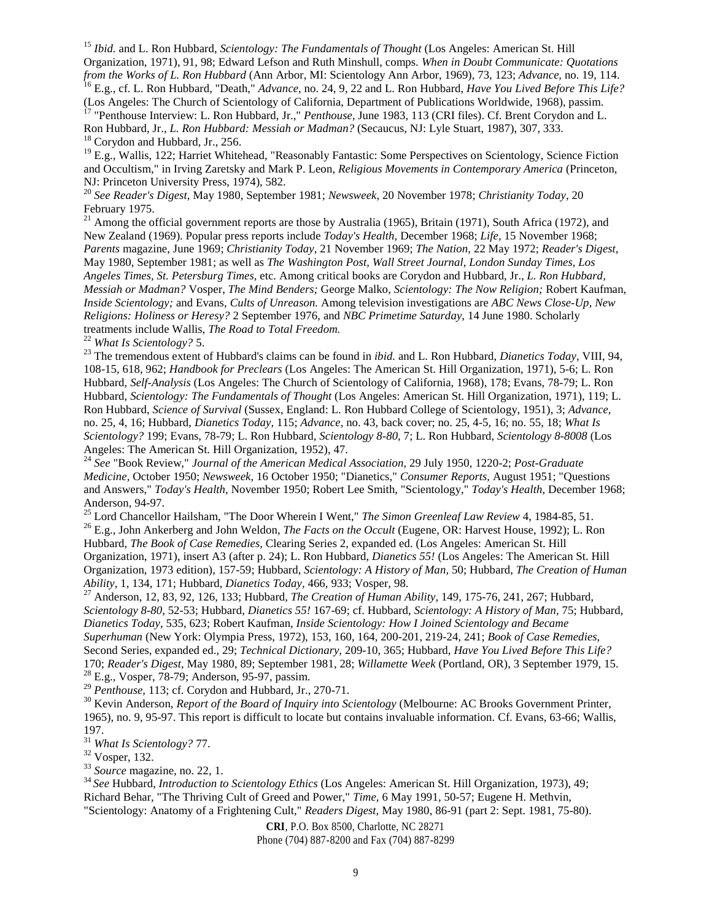<sup>15</sup> *Ibid.* and L. Ron Hubbard, *Scientology: The Fundamentals of Thought* (Los Angeles: American St. Hill Organization, 1971), 91, 98; Edward Lefson and Ruth Minshull, comps. *When in Doubt Communicate: Quotations from the Works of L. Ron Hubbard* (Ann Arbor, MI: Scientology Ann Arbor, 1969), 73, 123; *Advance,* no. 19, 114. <sup>16</sup> E.g., cf. L. Ron Hubbard, "Death," *Advance,* no. 24, 9, 22 and L. Ron Hubbard, *Have You Lived Before This Life?*

(Los Angeles: The Church of Scientology of California, Department of Publications Worldwide, 1968), passim. <sup>17</sup> "Penthouse Interview: L. Ron Hubbard, Jr.," *Penthouse*, June 1983, 113 (CRI files). Cf. Brent Corydon and L. Ron Hubbard, Jr., *L. Ron Hubbard: Messiah or Madman?* (Secaucus, NJ: Lyle Stuart, 1987), 307, 333. <sup>18</sup> Corydon and Hubbard, Jr., 256.

<sup>19</sup> E.g., Wallis, 122; Harriet Whitehead, "Reasonably Fantastic: Some Perspectives on Scientology, Science Fiction and Occultism," in Irving Zaretsky and Mark P. Leon, *Religious Movements in Contemporary America* (Princeton, NJ: Princeton University Press, 1974), 582.

<sup>20</sup> *See Reader's Digest,* May 1980, September 1981; *Newsweek,* 20 November 1978; *Christianity Today,* 20 February 1975.

<sup>21</sup> Among the official government reports are those by Australia (1965), Britain (1971), South Africa (1972), and New Zealand (1969). Popular press reports include *Today's Health,* December 1968; *Life,* 15 November 1968; *Parents* magazine, June 1969; *Christianity Today,* 21 November 1969; *The Nation,* 22 May 1972; *Reader's Digest,* May 1980, September 1981; as well as *The Washington Post, Wall Street Journal, London Sunday Times, Los Angeles Times, St. Petersburg Times,* etc. Among critical books are Corydon and Hubbard, Jr., *L. Ron Hubbard, Messiah or Madman?* Vosper, *The Mind Benders;* George Malko, *Scientology: The Now Religion;* Robert Kaufman, *Inside Scientology;* and Evans, *Cults of Unreason.* Among television investigations are *ABC News Close-Up, New Religions: Holiness or Heresy?* 2 September 1976, and *NBC Primetime Saturday,* 14 June 1980. Scholarly treatments include Wallis, *The Road to Total Freedom.*

<sup>22</sup> *What Is Scientology?* 5.

<sup>23</sup> The tremendous extent of Hubbard's claims can be found in *ibid.* and L. Ron Hubbard, *Dianetics Today,* VIII, 94, 108-15, 618, 962; *Handbook for Preclears* (Los Angeles: The American St. Hill Organization, 1971), 5-6; L. Ron Hubbard, *Self-Analysis* (Los Angeles: The Church of Scientology of California, 1968), 178; Evans, 78-79; L. Ron Hubbard, *Scientology: The Fundamentals of Thought* (Los Angeles: American St. Hill Organization, 1971), 119; L. Ron Hubbard, *Science of Survival* (Sussex, England: L. Ron Hubbard College of Scientology, 1951), 3; *Advance,* no. 25, 4, 16; Hubbard, *Dianetics Today,* 115; *Advance,* no. 43, back cover; no. 25, 4-5, 16; no. 55, 18; *What Is Scientology?* 199; Evans, 78-79; L. Ron Hubbard, *Scientology 8-80,* 7; L. Ron Hubbard, *Scientology 8-8008* (Los Angeles: The American St. Hill Organization, 1952), 47.

<sup>24</sup> *See* "Book Review," *Journal of the American Medical Association,* 29 July 1950, 1220-2; *Post-Graduate Medicine,* October 1950; *Newsweek,* 16 October 1950; "Dianetics," *Consumer Reports,* August 1951; "Questions and Answers," *Today's Health,* November 1950; Robert Lee Smith, "Scientology," *Today's Health,* December 1968; Anderson, 94-97.

<sup>25</sup> Lord Chancellor Hailsham, "The Door Wherein I Went," *The Simon Greenleaf Law Review* 4, 1984-85, 51.

<sup>26</sup> E.g., John Ankerberg and John Weldon, *The Facts on the Occult* (Eugene, OR: Harvest House, 1992); L. Ron Hubbard, *The Book of Case Remedies,* Clearing Series 2, expanded ed. (Los Angeles: American St. Hill Organization, 1971), insert A3 (after p. 24); L. Ron Hubbard, *Dianetics 55!* (Los Angeles: The American St. Hill Organization, 1973 edition), 157-59; Hubbard, *Scientology: A History of Man,* 50; Hubbard, *The Creation of Human Ability,* 1, 134, 171; Hubbard, *Dianetics Today,* 466, 933; Vosper, 98.

<sup>27</sup> Anderson, 12, 83, 92, 126, 133; Hubbard, *The Creation of Human Ability,* 149, 175-76, 241, 267; Hubbard, *Scientology 8-80,* 52-53; Hubbard, *Dianetics 55!* 167-69; cf. Hubbard, *Scientology: A History of Man,* 75; Hubbard, *Dianetics Today,* 535, 623; Robert Kaufman, *Inside Scientology: How I Joined Scientology and Became Superhuman* (New York: Olympia Press, 1972), 153, 160, 164, 200-201, 219-24, 241; *Book of Case Remedies,* Second Series, expanded ed., 29; *Technical Dictionary,* 209-10, 365; Hubbard, *Have You Lived Before This Life?* 170; *Reader's Digest,* May 1980, 89; September 1981, 28; *Willamette Week* (Portland, OR), 3 September 1979, 15. <sup>28</sup> E.g., Vosper, 78-79; Anderson, 95-97, passim.

<sup>29</sup> *Penthouse,* 113; cf. Corydon and Hubbard, Jr., 270-71.

<sup>30</sup> Kevin Anderson, *Report of the Board of Inquiry into Scientology* (Melbourne: AC Brooks Government Printer, 1965), no. 9, 95-97. This report is difficult to locate but contains invaluable information. Cf. Evans, 63-66; Wallis, 197.

<sup>31</sup> *What Is Scientology?* 77.

<sup>32</sup> Vosper, 132.

<sup>33</sup> *Source* magazine, no. 22, 1.

<sup>34</sup> *See* Hubbard, *Introduction to Scientology Ethics* (Los Angeles: American St. Hill Organization, 1973), 49; Richard Behar, "The Thriving Cult of Greed and Power," *Time,* 6 May 1991, 50-57; Eugene H. Methvin, "Scientology: Anatomy of a Frightening Cult," *Readers Digest,* May 1980, 86-91 (part 2: Sept. 1981, 75-80).